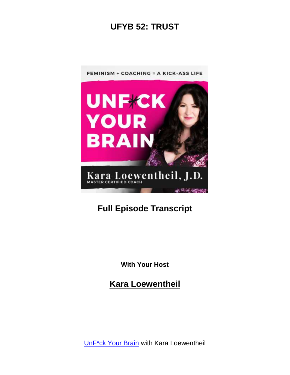

# **Full Episode Transcript**

**With Your Host**

**Kara Loewentheil**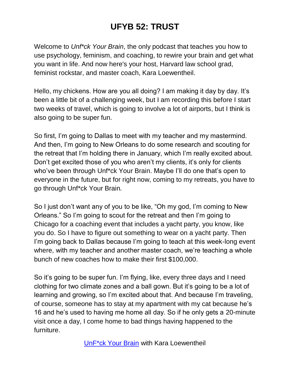Welcome to *Unf\*ck Your Brain*, the only podcast that teaches you how to use psychology, feminism, and coaching, to rewire your brain and get what you want in life. And now here's your host, Harvard law school grad, feminist rockstar, and master coach, Kara Loewentheil.

Hello, my chickens. How are you all doing? I am making it day by day. It's been a little bit of a challenging week, but I am recording this before I start two weeks of travel, which is going to involve a lot of airports, but I think is also going to be super fun.

So first, I'm going to Dallas to meet with my teacher and my mastermind. And then, I'm going to New Orleans to do some research and scouting for the retreat that I'm holding there in January, which I'm really excited about. Don't get excited those of you who aren't my clients, it's only for clients who've been through Unf\*ck Your Brain. Maybe I'll do one that's open to everyone in the future, but for right now, coming to my retreats, you have to go through Unf\*ck Your Brain*.*

So I just don't want any of you to be like, "Oh my god, I'm coming to New Orleans." So I'm going to scout for the retreat and then I'm going to Chicago for a coaching event that includes a yacht party, you know, like you do. So I have to figure out something to wear on a yacht party. Then I'm going back to Dallas because I'm going to teach at this week-long event where, with my teacher and another master coach, we're teaching a whole bunch of new coaches how to make their first \$100,000.

So it's going to be super fun. I'm flying, like, every three days and I need clothing for two climate zones and a ball gown. But it's going to be a lot of learning and growing, so I'm excited about that. And because I'm traveling, of course, someone has to stay at my apartment with my cat because he's 16 and he's used to having me home all day. So if he only gets a 20-minute visit once a day, I come home to bad things having happened to the furniture.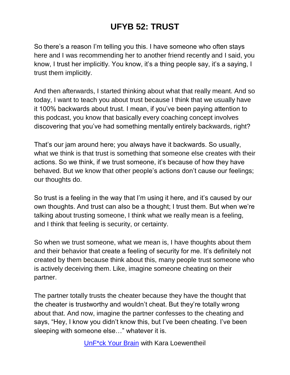So there's a reason I'm telling you this. I have someone who often stays here and I was recommending her to another friend recently and I said, you know, I trust her implicitly. You know, it's a thing people say, it's a saying, I trust them implicitly.

And then afterwards, I started thinking about what that really meant. And so today, I want to teach you about trust because I think that we usually have it 100% backwards about trust. I mean, if you've been paying attention to this podcast, you know that basically every coaching concept involves discovering that you've had something mentally entirely backwards, right?

That's our jam around here; you always have it backwards. So usually, what we think is that trust is something that someone else creates with their actions. So we think, if we trust someone, it's because of how they have behaved. But we know that other people's actions don't cause our feelings; our thoughts do.

So trust is a feeling in the way that I'm using it here, and it's caused by our own thoughts. And trust can also be a thought; I trust them. But when we're talking about trusting someone, I think what we really mean is a feeling, and I think that feeling is security, or certainty.

So when we trust someone, what we mean is, I have thoughts about them and their behavior that create a feeling of security for me. It's definitely not created by them because think about this, many people trust someone who is actively deceiving them. Like, imagine someone cheating on their partner.

The partner totally trusts the cheater because they have the thought that the cheater is trustworthy and wouldn't cheat. But they're totally wrong about that. And now, imagine the partner confesses to the cheating and says, "Hey, I know you didn't know this, but I've been cheating. I've been sleeping with someone else…" whatever it is.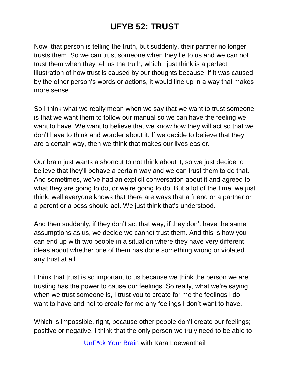Now, that person is telling the truth, but suddenly, their partner no longer trusts them. So we can trust someone when they lie to us and we can not trust them when they tell us the truth, which I just think is a perfect illustration of how trust is caused by our thoughts because, if it was caused by the other person's words or actions, it would line up in a way that makes more sense.

So I think what we really mean when we say that we want to trust someone is that we want them to follow our manual so we can have the feeling we want to have. We want to believe that we know how they will act so that we don't have to think and wonder about it. If we decide to believe that they are a certain way, then we think that makes our lives easier.

Our brain just wants a shortcut to not think about it, so we just decide to believe that they'll behave a certain way and we can trust them to do that. And sometimes, we've had an explicit conversation about it and agreed to what they are going to do, or we're going to do. But a lot of the time, we just think, well everyone knows that there are ways that a friend or a partner or a parent or a boss should act. We just think that's understood.

And then suddenly, if they don't act that way, if they don't have the same assumptions as us, we decide we cannot trust them. And this is how you can end up with two people in a situation where they have very different ideas about whether one of them has done something wrong or violated any trust at all.

I think that trust is so important to us because we think the person we are trusting has the power to cause our feelings. So really, what we're saying when we trust someone is, I trust you to create for me the feelings I do want to have and not to create for me any feelings I don't want to have.

Which is impossible, right, because other people don't create our feelings; positive or negative. I think that the only person we truly need to be able to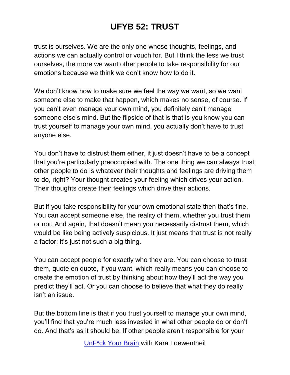trust is ourselves. We are the only one whose thoughts, feelings, and actions we can actually control or vouch for. But I think the less we trust ourselves, the more we want other people to take responsibility for our emotions because we think we don't know how to do it.

We don't know how to make sure we feel the way we want, so we want someone else to make that happen, which makes no sense, of course. If you can't even manage your own mind, you definitely can't manage someone else's mind. But the flipside of that is that is you know you can trust yourself to manage your own mind, you actually don't have to trust anyone else.

You don't have to distrust them either, it just doesn't have to be a concept that you're particularly preoccupied with. The one thing we can always trust other people to do is whatever their thoughts and feelings are driving them to do, right? Your thought creates your feeling which drives your action. Their thoughts create their feelings which drive their actions.

But if you take responsibility for your own emotional state then that's fine. You can accept someone else, the reality of them, whether you trust them or not. And again, that doesn't mean you necessarily distrust them, which would be like being actively suspicious. It just means that trust is not really a factor; it's just not such a big thing.

You can accept people for exactly who they are. You can choose to trust them, quote en quote, if you want, which really means you can choose to create the emotion of trust by thinking about how they'll act the way you predict they'll act. Or you can choose to believe that what they do really isn't an issue.

But the bottom line is that if you trust yourself to manage your own mind, you'll find that you're much less invested in what other people do or don't do. And that's as it should be. If other people aren't responsible for your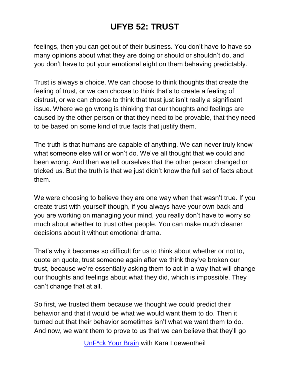feelings, then you can get out of their business. You don't have to have so many opinions about what they are doing or should or shouldn't do, and you don't have to put your emotional eight on them behaving predictably.

Trust is always a choice. We can choose to think thoughts that create the feeling of trust, or we can choose to think that's to create a feeling of distrust, or we can choose to think that trust just isn't really a significant issue. Where we go wrong is thinking that our thoughts and feelings are caused by the other person or that they need to be provable, that they need to be based on some kind of true facts that justify them.

The truth is that humans are capable of anything. We can never truly know what someone else will or won't do. We've all thought that we could and been wrong. And then we tell ourselves that the other person changed or tricked us. But the truth is that we just didn't know the full set of facts about them.

We were choosing to believe they are one way when that wasn't true. If you create trust with yourself though, if you always have your own back and you are working on managing your mind, you really don't have to worry so much about whether to trust other people. You can make much cleaner decisions about it without emotional drama.

That's why it becomes so difficult for us to think about whether or not to, quote en quote, trust someone again after we think they've broken our trust, because we're essentially asking them to act in a way that will change our thoughts and feelings about what they did, which is impossible. They can't change that at all.

So first, we trusted them because we thought we could predict their behavior and that it would be what we would want them to do. Then it turned out that their behavior sometimes isn't what we want them to do. And now, we want them to prove to us that we can believe that they'll go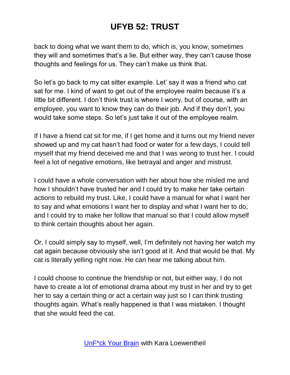back to doing what we want them to do, which is, you know, sometimes they will and sometimes that's a lie. But either way, they can't cause those thoughts and feelings for us. They can't make us think that.

So let's go back to my cat sitter example. Let' say it was a friend who cat sat for me. I kind of want to get out of the employee realm because it's a little bit different. I don't think trust is where I worry, but of course, with an employee, you want to know they can do their job. And if they don't, you would take some steps. So let's just take it out of the employee realm.

If I have a friend cat sit for me, if I get home and it turns out my friend never showed up and my cat hasn't had food or water for a few days, I could tell myself that my friend deceived me and that I was wrong to trust her. I could feel a lot of negative emotions, like betrayal and anger and mistrust.

I could have a whole conversation with her about how she misled me and how I shouldn't have trusted her and I could try to make her take certain actions to rebuild my trust. Like, I could have a manual for what I want her to say and what emotions I want her to display and what I want her to do, and I could try to make her follow that manual so that I could allow myself to think certain thoughts about her again.

Or, I could simply say to myself, well, I'm definitely not having her watch my cat again because obviously she isn't good at it. And that would be that. My cat is literally yelling right now. He can hear me talking about him.

I could choose to continue the friendship or not, but either way, I do not have to create a lot of emotional drama about my trust in her and try to get her to say a certain thing or act a certain way just so I can think trusting thoughts again. What's really happened is that I was mistaken. I thought that she would feed the cat.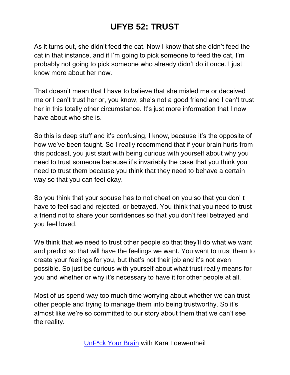As it turns out, she didn't feed the cat. Now I know that she didn't feed the cat in that instance, and if I'm going to pick someone to feed the cat, I'm probably not going to pick someone who already didn't do it once. I just know more about her now.

That doesn't mean that I have to believe that she misled me or deceived me or I can't trust her or, you know, she's not a good friend and I can't trust her in this totally other circumstance. It's just more information that I now have about who she is.

So this is deep stuff and it's confusing, I know, because it's the opposite of how we've been taught. So I really recommend that if your brain hurts from this podcast, you just start with being curious with yourself about why you need to trust someone because it's invariably the case that you think you need to trust them because you think that they need to behave a certain way so that you can feel okay.

So you think that your spouse has to not cheat on you so that you don' t have to feel sad and rejected, or betrayed. You think that you need to trust a friend not to share your confidences so that you don't feel betrayed and you feel loved.

We think that we need to trust other people so that they'll do what we want and predict so that will have the feelings we want. You want to trust them to create your feelings for you, but that's not their job and it's not even possible. So just be curious with yourself about what trust really means for you and whether or why it's necessary to have it for other people at all.

Most of us spend way too much time worrying about whether we can trust other people and trying to manage them into being trustworthy. So it's almost like we're so committed to our story about them that we can't see the reality.